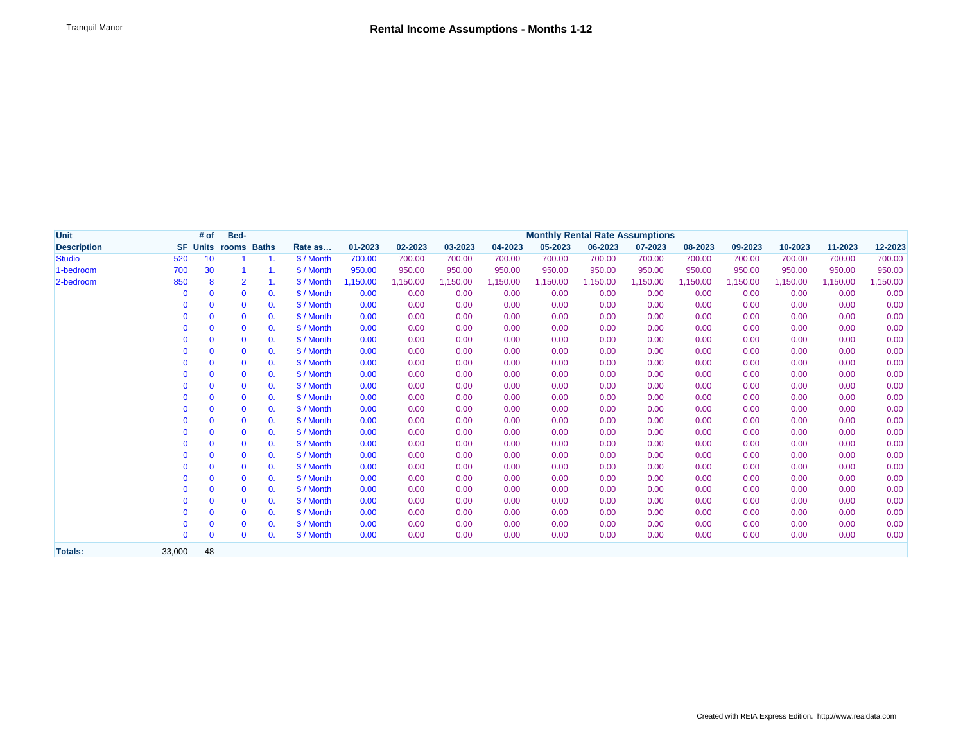| <b>Unit</b>        |              | # of         | Bed-                        |                | <b>Monthly Rental Rate Assumptions</b> |          |          |          |          |          |          |          |          |          |          |          |          |
|--------------------|--------------|--------------|-----------------------------|----------------|----------------------------------------|----------|----------|----------|----------|----------|----------|----------|----------|----------|----------|----------|----------|
| <b>Description</b> |              |              | <b>SF Units rooms Baths</b> |                | Rate as                                | 01-2023  | 02-2023  | 03-2023  | 04-2023  | 05-2023  | 06-2023  | 07-2023  | 08-2023  | 09-2023  | 10-2023  | 11-2023  | 12-2023  |
| <b>Studio</b>      | 520          | 10           |                             |                | \$ / Month                             | 700.00   | 700.00   | 700.00   | 700.00   | 700.00   | 700.00   | 700.00   | 700.00   | 700.00   | 700.00   | 700.00   | 700.00   |
| 1-bedroom          | 700          | 30           | $\overline{1}$              | 1.             | \$ / Month                             | 950.00   | 950.00   | 950.00   | 950.00   | 950.00   | 950.00   | 950.00   | 950.00   | 950.00   | 950.00   | 950.00   | 950.00   |
| 2-bedroom          | 850          | 8            | $\overline{2}$              | 1.             | \$ / Month                             | 1,150.00 | 1,150.00 | 1,150.00 | 1,150.00 | 1,150.00 | 1,150.00 | 1,150.00 | 1,150.00 | 1,150.00 | 1,150.00 | 1,150.00 | 1,150.00 |
|                    | $\mathbf{0}$ | $\mathbf{0}$ | $\mathbf{0}$                | 0.             | \$ / Month                             | 0.00     | 0.00     | 0.00     | 0.00     | 0.00     | 0.00     | 0.00     | 0.00     | 0.00     | 0.00     | 0.00     | 0.00     |
|                    | <sup>0</sup> | $\mathbf{0}$ | $\mathbf{0}$                | $\mathbf{0}$ . | \$ / Month                             | 0.00     | 0.00     | 0.00     | 0.00     | 0.00     | 0.00     | 0.00     | 0.00     | 0.00     | 0.00     | 0.00     | 0.00     |
|                    | O            | $\mathbf{0}$ | $\mathbf{0}$                | 0.             | \$ / Month                             | 0.00     | 0.00     | 0.00     | 0.00     | 0.00     | 0.00     | 0.00     | 0.00     | 0.00     | 0.00     | 0.00     | 0.00     |
|                    | O            | $\mathbf{0}$ | $\mathbf 0$                 | 0.             | \$ / Month                             | 0.00     | 0.00     | 0.00     | 0.00     | 0.00     | 0.00     | 0.00     | 0.00     | 0.00     | 0.00     | 0.00     | 0.00     |
|                    |              | $\mathbf{0}$ | $\mathbf{0}$                | 0.             | \$ / Month                             | 0.00     | 0.00     | 0.00     | 0.00     | 0.00     | 0.00     | 0.00     | 0.00     | 0.00     | 0.00     | 0.00     | 0.00     |
|                    | 0            | $\mathbf{0}$ | $\mathbf 0$                 | 0.             | \$ / Month                             | 0.00     | 0.00     | 0.00     | 0.00     | 0.00     | 0.00     | 0.00     | 0.00     | 0.00     | 0.00     | 0.00     | 0.00     |
|                    |              | $\mathbf{0}$ | $\mathbf 0$                 | 0.             | \$ / Month                             | 0.00     | 0.00     | 0.00     | 0.00     | 0.00     | 0.00     | 0.00     | 0.00     | 0.00     | 0.00     | 0.00     | 0.00     |
|                    | 0            | $\mathbf{0}$ | $\mathbf{0}$                | 0.             | \$ / Month                             | 0.00     | 0.00     | 0.00     | 0.00     | 0.00     | 0.00     | 0.00     | 0.00     | 0.00     | 0.00     | 0.00     | 0.00     |
|                    | 0            | $\mathbf{0}$ | $\mathbf 0$                 | $\mathbf{0}$ . | \$ / Month                             | 0.00     | 0.00     | 0.00     | 0.00     | 0.00     | 0.00     | 0.00     | 0.00     | 0.00     | 0.00     | 0.00     | 0.00     |
|                    |              | $\mathbf{0}$ | $\mathbf 0$                 | $\mathbf{0}$ . | \$ / Month                             | 0.00     | 0.00     | 0.00     | 0.00     | 0.00     | 0.00     | 0.00     | 0.00     | 0.00     | 0.00     | 0.00     | 0.00     |
|                    |              | $\mathbf{0}$ | $\mathbf{0}$                | $\mathbf{0}$ . | \$ / Month                             | 0.00     | 0.00     | 0.00     | 0.00     | 0.00     | 0.00     | 0.00     | 0.00     | 0.00     | 0.00     | 0.00     | 0.00     |
|                    |              | $\mathbf{0}$ | $\mathbf{0}$                | 0.             | \$ / Month                             | 0.00     | 0.00     | 0.00     | 0.00     | 0.00     | 0.00     | 0.00     | 0.00     | 0.00     | 0.00     | 0.00     | 0.00     |
|                    |              | $\mathbf{0}$ | $\mathbf{0}$                | $\mathbf{0}$ . | \$ / Month                             | 0.00     | 0.00     | 0.00     | 0.00     | 0.00     | 0.00     | 0.00     | 0.00     | 0.00     | 0.00     | 0.00     | 0.00     |
|                    | 0            | $\mathbf{0}$ | $\mathbf{0}$                | $\mathbf{0}$ . | \$ / Month                             | 0.00     | 0.00     | 0.00     | 0.00     | 0.00     | 0.00     | 0.00     | 0.00     | 0.00     | 0.00     | 0.00     | 0.00     |
|                    | 0            | $\mathbf{0}$ | $\mathbf{0}$                | 0.             | \$ / Month                             | 0.00     | 0.00     | 0.00     | 0.00     | 0.00     | 0.00     | 0.00     | 0.00     | 0.00     | 0.00     | 0.00     | 0.00     |
|                    |              | $\mathbf{0}$ | $\mathbf{0}$                | $\mathbf{0}$ . | \$ / Month                             | 0.00     | 0.00     | 0.00     | 0.00     | 0.00     | 0.00     | 0.00     | 0.00     | 0.00     | 0.00     | 0.00     | 0.00     |
|                    |              | $\mathbf{0}$ | $\mathbf{0}$                | $\mathbf{0}$ . | \$/Month                               | 0.00     | 0.00     | 0.00     | 0.00     | 0.00     | 0.00     | 0.00     | 0.00     | 0.00     | 0.00     | 0.00     | 0.00     |
|                    |              | $\mathbf{0}$ | $\mathbf{0}$                | 0.             | \$ / Month                             | 0.00     | 0.00     | 0.00     | 0.00     | 0.00     | 0.00     | 0.00     | 0.00     | 0.00     | 0.00     | 0.00     | 0.00     |
|                    | 0            | $\mathbf{0}$ | $\mathbf 0$                 | $\mathbf{0}$ . | \$ / Month                             | 0.00     | 0.00     | 0.00     | 0.00     | 0.00     | 0.00     | 0.00     | 0.00     | 0.00     | 0.00     | 0.00     | 0.00     |
|                    |              | $\mathbf{0}$ | $\mathbf 0$                 | $\mathbf{0}$ . | \$ / Month                             | 0.00     | 0.00     | 0.00     | 0.00     | 0.00     | 0.00     | 0.00     | 0.00     | 0.00     | 0.00     | 0.00     | 0.00     |
|                    |              | $\mathbf{0}$ | $\mathbf{0}$                | $\mathbf{0}$ . | \$ / Month                             | 0.00     | 0.00     | 0.00     | 0.00     | 0.00     | 0.00     | 0.00     | 0.00     | 0.00     | 0.00     | 0.00     | 0.00     |
|                    | $\Omega$     | $\mathbf{0}$ | $\mathbf{0}$                | $\mathbf{0}$ . | \$ / Month                             | 0.00     | 0.00     | 0.00     | 0.00     | 0.00     | 0.00     | 0.00     | 0.00     | 0.00     | 0.00     | 0.00     | 0.00     |
| <b>Totals:</b>     | 33,000       | 48           |                             |                |                                        |          |          |          |          |          |          |          |          |          |          |          |          |